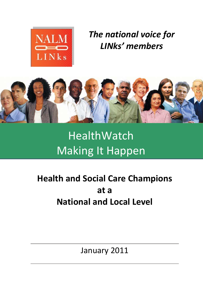

*The national voice for LINks' members*



# HealthWatch Making It Happen

# **Health and Social Care Champions at a National and Local Level**

January 2011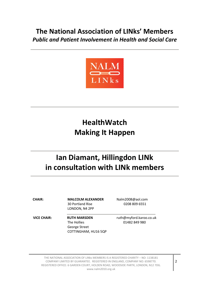## **The National Association of LINks' Members** *Public and Patient Involvement in Health and Social Care*



# **HealthWatch Making It Happen**

## **Ian Diamant, Hillingdon LINk in consultation with LINk members**

30 Portland Rise 0208 809 6551 LONDON, N4 2PP

**CHAIR: MALCOLM ALEXANDER** [Nalm2008@aol.com](mailto:Nalm2008@aol.com) 

**VICE CHAIR: RUTH MARSDEN** [ruth@myford.karoo.co.uk](mailto:ruth@myford.karoo.co.uk) The Hollies **01482 849 980** George Street COTTINGHAM, HU16 5QP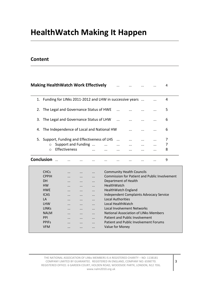# **HealthWatch Making It Happen**

#### **Content**

|                   |                                                |  | <b>Making HealthWatch Work Effectively</b>                                           |  |  |  |  |  |  |  | 4 |  |
|-------------------|------------------------------------------------|--|--------------------------------------------------------------------------------------|--|--|--|--|--|--|--|---|--|
|                   |                                                |  | 1. Funding for LINks 2011-2012 and LHW in successive years                           |  |  |  |  |  |  |  | 4 |  |
|                   | 2. The Legal and Governance Status of HWE<br>5 |  |                                                                                      |  |  |  |  |  |  |  |   |  |
|                   |                                                |  | 3. The Legal and Governance Status of LHW                                            |  |  |  |  |  |  |  | 6 |  |
|                   |                                                |  | 4. The Independence of Local and National HW                                         |  |  |  |  |  |  |  | 6 |  |
|                   | $\circ$<br>$\bigcap$                           |  | 5. Support, Funding and Effectiveness of LHS<br>Support and Funding<br>Effectiveness |  |  |  |  |  |  |  | 8 |  |
| <b>Conclusion</b> |                                                |  |                                                                                      |  |  |  |  |  |  |  | 9 |  |

| <b>CHCs</b>       | $\cdots$  | $\cdots$  | $\cdots$  | <b>Community Health Councils</b>               |
|-------------------|-----------|-----------|-----------|------------------------------------------------|
| <b>CPPIH</b>      | $\cdots$  | $\cdots$  | $\cdots$  | Commission for Patient and Public Involvement  |
| <b>DH</b>         | $\cdots$  | $\cdots$  | $\cdots$  | Department of Health                           |
| <b>HW</b>         | $\cdots$  | $\cdots$  | $\cdots$  | <b>HealthWatch</b>                             |
| <b>HWF</b>        | $\cdots$  | $\cdots$  | $\cdots$  | HealthWatch England                            |
| <b>ICAS</b>       | $\cdots$  | $\cdots$  |           | <b>Independent Complaints Advocacy Service</b> |
| LA                | $\cdots$  | $\cdots$  | $\cdots$  | Local Authorities                              |
| <b>LHW</b>        | $\ddotsc$ | $\ddotsc$ | $\ddotsc$ | Local HealthWatch                              |
| LINK <sub>S</sub> | $\cdots$  | $\cdots$  | $\ddotsc$ | Local Involvement Networks                     |
| <b>NALM</b>       | $\cdots$  | $\cdots$  | $\cdots$  | National Association of LINks Members          |
| <b>PPI</b>        | $\ddotsc$ | $\cdots$  | $\ddotsc$ | Patient and Public Involvement                 |
| <b>PPIFs</b>      | $\cdots$  | $\cdots$  | $\cdots$  | Patient and Public Involvement Forums          |
| <b>VFM</b>        |           |           | $\cdots$  | Value for Money                                |
|                   |           |           |           |                                                |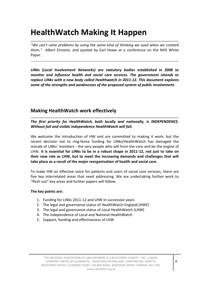# **HealthWatch Making It Happen**

*"We can't solve problems by using the same kind of thinking we used when we created them." Albert Einstein,* and quoted by Earl Howe at a conference on the NHS White Paper.

*LINks (Local Involvement Networks) are statutory bodies established in 2008 to monitor and influence health and social care services. The government intends to replace LINks with a new body called Healthwatch in 2011-12. This document explores some of the strengths and weaknesses of the proposed system of public involvement.*

#### **Making HealthWatch work effectively**

*The first priority for HealthWatch, both locally and nationally, is INDEPENDENCE. Without full and visible independence HealthWatch will fail.*

We welcome the introduction of HW and are committed to making it work, but the recent decision not to ring-fence funding for LINks/HealthWatch has damaged the morale of LINks' members - the very people who will form the core and be the engine of LHW. **It is essential for LINks to be in a robust shape in 2011-12, not just to take on their new role as LHW, but to meet the increasing demands and challenges that will take place as a result of the major reorganisation of health and social care.** 

To make HW an effective voice for patients and users of social care services, there are five key interrelated areas that need addressing. We are undertaking further work to "flesh out" key areas and further papers will follow.

#### **The key points are:**

- 1. Funding for LINks 2011-12 and LHW in successive years
- 2. The legal and governance status of HealthWatch England (HWE)
- 3. The legal and governance status of Local HealthWatch (LHW)
- 4. The independence of Local and National HealthWatch
- 5. Support, funding and effectiveness of LHW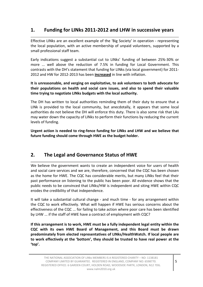## **1. Funding for LINks 2011-2012 and LHW in successive years**

Effective LINks are an excellent example of the 'Big Society' in operation - representing the local population, with an active membership of unpaid volunteers, supported by a small professional staff team.

Early indications suggest a substantial cut to LINks' funding of between 25%-30% or more ... well above the reduction of 7.5% in funding for Local Government. This contrasts with the DH's statement that funding for LINks (via local government) for 2011- 2012 and HW for 2012-2013 has been **increased** in line with inflation.

**It is unreasonable, and verging on exploitative, to ask volunteers to both advocate for their populations on health and social care issues, and also to spend their valuable time trying to negotiate LINks budgets with the local authority.**

The DH has written to local authorities reminding them of their duty to ensure that a LINk is provided to the local community, but anecdotally, it appears that some local authorities do not believe the DH will enforce this duty. There is also some risk that LAs may water down the capacity of LINks to perform their functions by reducing the current levels of funding.

**Urgent action is needed to ring-fence funding for LINks and LHW and we believe that future funding should come through HWE as the budget holder.**

#### **2. The Legal and Governance Status of HWE**

We believe the government wants to create an independent voice for users of health and social care services and we are, therefore, concerned that the CQC has been chosen as the home for HWE. The CQC has considerable merits, but many LINks feel that their past performance on listening to the public has been poor. All evidence shows that the public needs to be convinced that LINks/HW is independent and siting HWE within CQC erodes the credibility of that independence.

It will take a substantial cultural change - and much time - for any arrangement within the CQC to work effectively. What will happen if HWE has serious concerns about the effectiveness of the CQC ... for failing to take action where poor care has been identified by LHW ... if the staff of HWE have a contract of employment with CQC?

**If this arrangement is to work, HWE must be a fully independent legal entity within the CQC with its own HWE Board of Management, and this Board must be drawn predominately from elected representatives of LINks/HealthWatch. If local people are to work effectively at the 'bottom', they should be trusted to have real power at the 'top'.**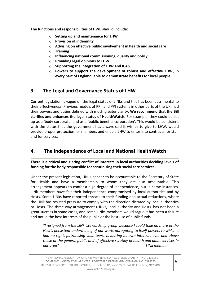**The functions and responsibilities of HWE should include:** 

- o **Setting up and maintenance for LHW**
- o **Provision of indemnity**
- o **Advising on effective public involvement in health and social care**
- o **Training**
- o **Influencing national commissioning, quality and policy**
- o **Providing legal opinions to LHW**
- o **Supporting the integration of LHW and ICAS**
- o **Powers to support the development of robust and effective LHW, in every part of England, able to demonstrate benefits for local people.**

#### **3. The Legal and Governance Status of LHW**

Current legislation is vague on the legal status of LINks and this has been detrimental to their effectiveness. Previous models of PPI, and PPI systems in other parts of the UK, had their powers and duties defined with much greater clarity. **We recommend that the Bill clarifies and enhances the legal status of HealthWatch.** For example, they could be set up as a 'body corporate' and as a 'public benefits corporation'. This would be consistent with the status that the government has always said it wishes to give to LHW, would provide proper protection for members and enable LHW to enter into contracts for staff and for services.

## **4. The Independence of Local and National HealthWatch**

**There is a critical and glaring conflict of interests in local authorities deciding levels of funding for the body responsible for scrutinising their social care services.**

Under the present legislation, LINks appear to be accountable to the Secretary of State for Health and have a membership to whom they are also accountable. This arrangement appears to confer a high degree of independence, but in some instances, LINk members have felt their independence compromised by local authorities and by Hosts. Some LINks have reported threats to their funding and actual reductions, where the LINk has resisted pressure to comply with the direction dictated by local authorities or Hosts. The three-way arrangement (LINks, local authority and Host), has not been a great success in some cases, and some LINks members would argue it has been a failure and not in the best interests of the public or the best use of public funds.

*"I resigned from the LINk 'stewardship group' because I could take no more of the Host's persistent undermining of our work, abrogating to itself powers to which it had no right, patronising volunteers, favouring its own interests over and above those of the general public and of effective scrutiny of health and adult services in our area". LINk member*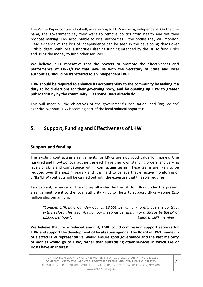The White Paper contradicts itself, in referring to LHW as being independent. On the one hand, the government say they want to remove politics from health and yet they propose making LHW accountable to local authorities – the bodies they will monitor. Clear evidence of the loss of independence can be seen in the developing chaos over LINk budgets, with local authorities slashing funding intended by the DH to fund LINks and using the money to fund other services.

**We believe it is imperative that the powers to promote the effectiveness and performance of LINks/LHW that now lie with the Secretary of State and local authorities, should be transferred to an independent HWE.**

**LHW should be required to enhance its accountability to the community by making it a duty to hold elections for their governing body, and by opening up LHW to greater public scrutiny by the community ... as some LINks already do.** 

This will meet all the objectives of the government's localisation, and 'Big Society' agendas, without LHW becoming part of the local political apparatus.

#### **5. Support, Funding and Effectiveness of LHW**

#### **Support and funding**

The existing contracting arrangements for LINKs are not good value for money. One hundred and fifty-two local authorities each have their own standing orders, and varying levels of skills and competence within contracting teams. These teams are likely to be reduced over the next 4 years - and it is hard to believe that effective monitoring of LINks/LHW contracts will be carried out with the expertise that this role requires.

Ten percent, or more, of the money allocated by the DH for LINks under the present arrangement, went to the local authority - not to Hosts to support LINks – some £2.5 million plus per annum.

*"Camden LINk pays Camden Council £8,000 per annum to manage the contract with its Host. This is for 4, two hour meetings per annum or a charge by the LA of £1,000 per hour". Camden LINk member*

**We believe that for a reduced amount, HWE could commission support services for LHW and support the development of localisation agenda. The Board of HWE, made up of elected LHW representative, would ensure good governance and the vast majority of monies would go to LHW, rather than subsidising other services in which LAs or Hosts have an interest.**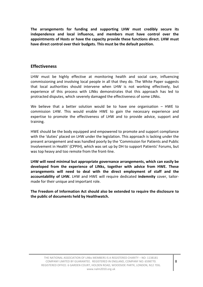**The arrangements for funding and supporting LHW must credibly secure its independence and local influence, and members must have control over the appointments of Hosts or have the capacity provide these functions direct. LHW must have direct control over their budgets. This must be the default position.**

#### **Effectiveness**

LHW must be highly effective at monitoring health and social care, influencing commissioning and involving local people in all that they do. The White Paper suggests that local authorities should intervene when LHW is not working effectively, but experience of this process with LINks demonstrates that this approach has led to protracted disputes, which severely damaged the effectiveness of some LINks.

We believe that a better solution would be to have one organisation – HWE to commission LHW. This would enable HWE to gain the necessary experience and expertise to promote the effectiveness of LHW and to provide advice, support and training.

HWE should be the body equipped and empowered to promote and support compliance with the 'duties' placed on LHW under the legislation. This approach is lacking under the present arrangement and was handled poorly by the 'Commission for Patients and Public Involvement in Health' (CPPIH), which was set up by DH to support Patients' Forums, but was top heavy and too remote from the front-line.

**LHW will need minimal but appropriate governance arrangements, which can easily be developed from the experience of LINks, together with advice from HWE. These arrangements will need to deal with the direct employment of staff and the accountability of LHW.** LHW and HWE will require dedicated **indemnity** cover, tailormade for their unique and important role.

**The Freedom of Information Act should also be extended to require the disclosure to the public of documents held by Healthwatch.**